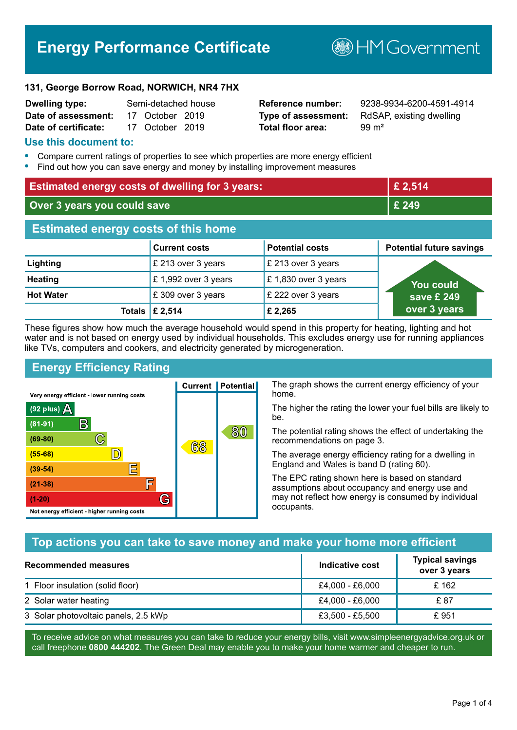# **Energy Performance Certificate**

**B**HM Government

#### **131, George Borrow Road, NORWICH, NR4 7HX**

| <b>Dwelling type:</b> | Semi-detached house |                 |  |
|-----------------------|---------------------|-----------------|--|
| Date of assessment:   |                     | 17 October 2019 |  |
| Date of certificate:  |                     | 17 October 2019 |  |

# **Total floor area:** 99 m<sup>2</sup>

**Reference number:** 9238-9934-6200-4591-4914 **Type of assessment:** RdSAP, existing dwelling

#### **Use this document to:**

- **•** Compare current ratings of properties to see which properties are more energy efficient
- **•** Find out how you can save energy and money by installing improvement measures

| <b>Estimated energy costs of dwelling for 3 years:</b> |                           | £ 2,514                |                                 |
|--------------------------------------------------------|---------------------------|------------------------|---------------------------------|
| Over 3 years you could save                            |                           | £ 249                  |                                 |
| <b>Estimated energy costs of this home</b>             |                           |                        |                                 |
|                                                        | <b>Current costs</b>      | <b>Potential costs</b> | <b>Potential future savings</b> |
| Lighting                                               | £ 213 over 3 years        | £ 213 over 3 years     |                                 |
| <b>Heating</b>                                         | £1,992 over 3 years       | £1,830 over 3 years    | You could                       |
| <b>Hot Water</b>                                       | £ 309 over 3 years        | £ 222 over 3 years     | save £ 249 $^{\circ}$           |
|                                                        | Totals $\mathsf{E}$ 2,514 | £2,265                 | over 3 years                    |

These figures show how much the average household would spend in this property for heating, lighting and hot water and is not based on energy used by individual households. This excludes energy use for running appliances like TVs, computers and cookers, and electricity generated by microgeneration.

**Current | Potential** 

68

# **Energy Efficiency Rating**

 $\mathbb{C}$ 

 $\mathbb{D}$ 

E

F

G

Very energy efficient - lower running costs

 $\mathsf{R}% _{T}$ 

Not energy efficient - higher running costs

 $(92$  plus)

 $(81 - 91)$ 

 $(69 - 80)$ 

 $(55-68)$ 

 $(39 - 54)$  $(21-38)$ 

 $(1-20)$ 

A

The graph shows the current energy efficiency of your home.

The higher the rating the lower your fuel bills are likely to be.

The potential rating shows the effect of undertaking the recommendations on page 3.

The average energy efficiency rating for a dwelling in England and Wales is band D (rating 60).

The EPC rating shown here is based on standard assumptions about occupancy and energy use and may not reflect how energy is consumed by individual occupants.

### **Top actions you can take to save money and make your home more efficient**

80

| Recommended measures                 | Indicative cost | <b>Typical savings</b><br>over 3 years |
|--------------------------------------|-----------------|----------------------------------------|
| 1 Floor insulation (solid floor)     | £4,000 - £6,000 | £ 162                                  |
| 2 Solar water heating                | £4,000 - £6,000 | £ 87                                   |
| 3 Solar photovoltaic panels, 2.5 kWp | £3,500 - £5,500 | £951                                   |

To receive advice on what measures you can take to reduce your energy bills, visit www.simpleenergyadvice.org.uk or call freephone **0800 444202**. The Green Deal may enable you to make your home warmer and cheaper to run.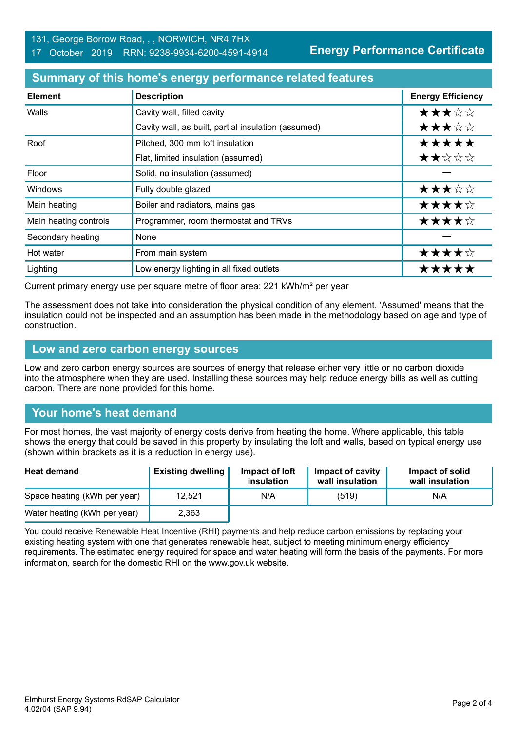**Energy Performance Certificate**

#### **Summary of this home's energy performance related features**

| <b>Element</b>        | <b>Description</b>                                  | <b>Energy Efficiency</b> |
|-----------------------|-----------------------------------------------------|--------------------------|
| Walls                 | Cavity wall, filled cavity                          | ★★★☆☆                    |
|                       | Cavity wall, as built, partial insulation (assumed) | ★★★☆☆                    |
| Roof                  | Pitched, 300 mm loft insulation                     | *****                    |
|                       | Flat, limited insulation (assumed)                  | ★★☆☆☆                    |
| Floor                 | Solid, no insulation (assumed)                      |                          |
| <b>Windows</b>        | Fully double glazed                                 | ★★★☆☆                    |
| Main heating          | Boiler and radiators, mains gas                     | ★★★★☆                    |
| Main heating controls | Programmer, room thermostat and TRVs                | ★★★★☆                    |
| Secondary heating     | None                                                |                          |
| Hot water             | From main system                                    | ★★★★☆                    |
| Lighting              | Low energy lighting in all fixed outlets            | *****                    |

Current primary energy use per square metre of floor area: 221 kWh/m² per year

The assessment does not take into consideration the physical condition of any element. 'Assumed' means that the insulation could not be inspected and an assumption has been made in the methodology based on age and type of construction.

#### **Low and zero carbon energy sources**

Low and zero carbon energy sources are sources of energy that release either very little or no carbon dioxide into the atmosphere when they are used. Installing these sources may help reduce energy bills as well as cutting carbon. There are none provided for this home.

# **Your home's heat demand**

For most homes, the vast majority of energy costs derive from heating the home. Where applicable, this table shows the energy that could be saved in this property by insulating the loft and walls, based on typical energy use (shown within brackets as it is a reduction in energy use).

| <b>Heat demand</b>           | <b>Existing dwelling</b> | Impact of loft<br>insulation | Impact of cavity<br>wall insulation | Impact of solid<br>wall insulation |
|------------------------------|--------------------------|------------------------------|-------------------------------------|------------------------------------|
| Space heating (kWh per year) | 12.521                   | N/A                          | (519)                               | N/A                                |
| Water heating (kWh per year) | 2,363                    |                              |                                     |                                    |

You could receive Renewable Heat Incentive (RHI) payments and help reduce carbon emissions by replacing your existing heating system with one that generates renewable heat, subject to meeting minimum energy efficiency requirements. The estimated energy required for space and water heating will form the basis of the payments. For more information, search for the domestic RHI on the www.gov.uk website.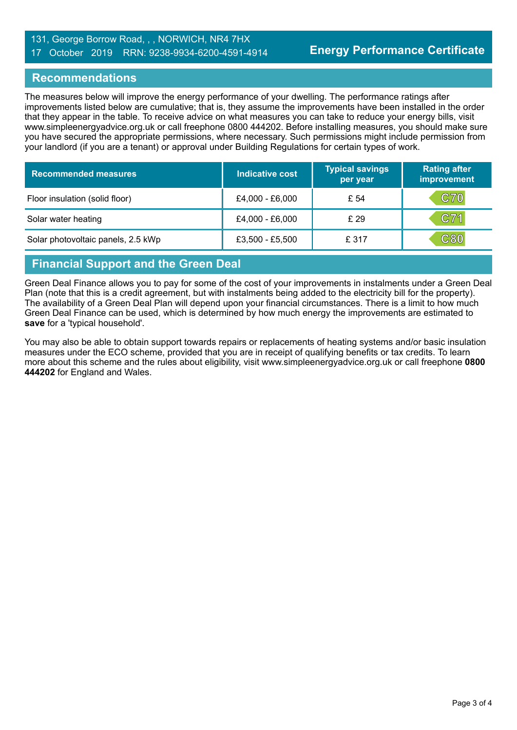#### 131, George Borrow Road, , , NORWICH, NR4 7HX 17 October 2019 RRN: 9238-9934-6200-4591-4914

#### **Recommendations**

The measures below will improve the energy performance of your dwelling. The performance ratings after improvements listed below are cumulative; that is, they assume the improvements have been installed in the order that they appear in the table. To receive advice on what measures you can take to reduce your energy bills, visit www.simpleenergyadvice.org.uk or call freephone 0800 444202. Before installing measures, you should make sure you have secured the appropriate permissions, where necessary. Such permissions might include permission from your landlord (if you are a tenant) or approval under Building Regulations for certain types of work.

| <b>Recommended measures</b>        | Indicative cost   | <b>Typical savings</b><br>per year | <b>Rating after</b><br>improvement |
|------------------------------------|-------------------|------------------------------------|------------------------------------|
| Floor insulation (solid floor)     | £4,000 - £6,000   | £ 54                               | <b>C70</b>                         |
| Solar water heating                | £4,000 - £6,000   | £ 29                               | C71                                |
| Solar photovoltaic panels, 2.5 kWp | $£3,500 - £5,500$ | £ 317                              | C80                                |

# **Financial Support and the Green Deal**

Green Deal Finance allows you to pay for some of the cost of your improvements in instalments under a Green Deal Plan (note that this is a credit agreement, but with instalments being added to the electricity bill for the property). The availability of a Green Deal Plan will depend upon your financial circumstances. There is a limit to how much Green Deal Finance can be used, which is determined by how much energy the improvements are estimated to **save** for a 'typical household'.

You may also be able to obtain support towards repairs or replacements of heating systems and/or basic insulation measures under the ECO scheme, provided that you are in receipt of qualifying benefits or tax credits. To learn more about this scheme and the rules about eligibility, visit www.simpleenergyadvice.org.uk or call freephone **0800 444202** for England and Wales.